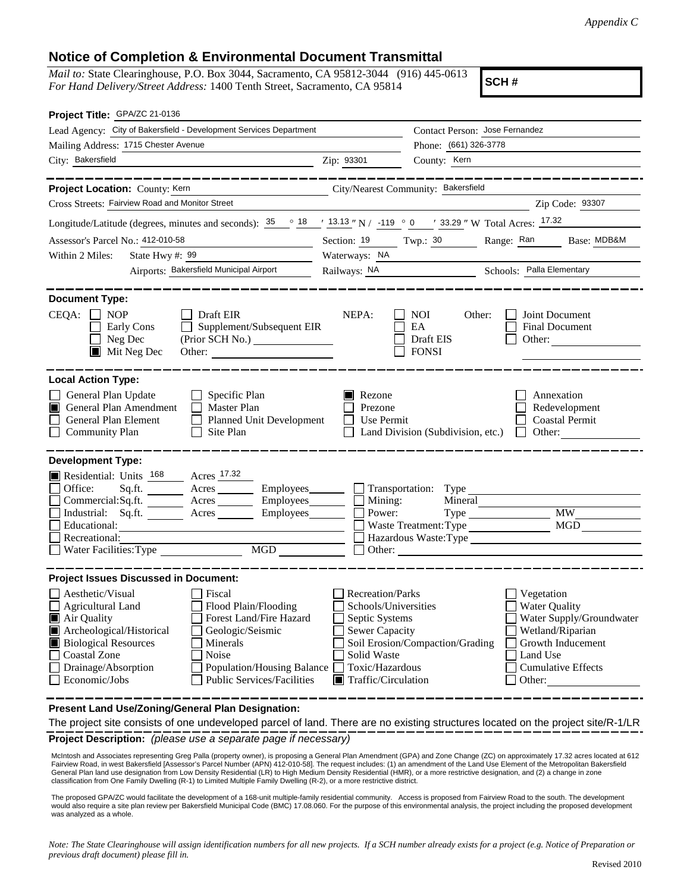## **Notice of Completion & Environmental Document Transmittal**

*Mail to:* State Clearinghouse, P.O. Box 3044, Sacramento, CA 95812-3044 (916) 445-0613 *For Hand Delivery/Street Address:* 1400 Tenth Street, Sacramento, CA 95814

**SCH #**

| Project Title: GPA/ZC 21-0136                                                                                                                                                                                                                                                                                                                                                                      |                                                                                                                                              |                                                                    |                                                                                                                                                            |  |
|----------------------------------------------------------------------------------------------------------------------------------------------------------------------------------------------------------------------------------------------------------------------------------------------------------------------------------------------------------------------------------------------------|----------------------------------------------------------------------------------------------------------------------------------------------|--------------------------------------------------------------------|------------------------------------------------------------------------------------------------------------------------------------------------------------|--|
| Lead Agency: City of Bakersfield - Development Services Department                                                                                                                                                                                                                                                                                                                                 |                                                                                                                                              | Contact Person: Jose Fernandez                                     |                                                                                                                                                            |  |
| Mailing Address: 1715 Chester Avenue                                                                                                                                                                                                                                                                                                                                                               |                                                                                                                                              | Phone: (661) 326-3778                                              |                                                                                                                                                            |  |
| City: Bakersfield<br><u> 1980 - Johann Barn, fransk politik (</u>                                                                                                                                                                                                                                                                                                                                  | Zip: 93301                                                                                                                                   | County: Kern                                                       |                                                                                                                                                            |  |
| ____________                                                                                                                                                                                                                                                                                                                                                                                       |                                                                                                                                              |                                                                    | _______________                                                                                                                                            |  |
| Project Location: County: Kern                                                                                                                                                                                                                                                                                                                                                                     |                                                                                                                                              | City/Nearest Community: Bakersfield                                |                                                                                                                                                            |  |
| Cross Streets: Fairview Road and Monitor Street                                                                                                                                                                                                                                                                                                                                                    |                                                                                                                                              |                                                                    | Zip Code: 93307                                                                                                                                            |  |
| Longitude/Latitude (degrees, minutes and seconds): $\frac{35}{25}$ $\frac{18}{21}$ $\frac{13.13}{2}$ N / -119 $\degree$ 0 / 33.29 " W Total Acres: $\frac{17.32}{21}$                                                                                                                                                                                                                              |                                                                                                                                              |                                                                    |                                                                                                                                                            |  |
| Assessor's Parcel No.: 412-010-58<br><u> 1980 - Johann Barbara, martin a</u>                                                                                                                                                                                                                                                                                                                       |                                                                                                                                              |                                                                    | Section: 19 Twp.: 30 Range: Ran Base: MDB&M                                                                                                                |  |
| State Hwy #: $99$<br>Within 2 Miles:                                                                                                                                                                                                                                                                                                                                                               | Waterways: NA                                                                                                                                |                                                                    |                                                                                                                                                            |  |
| Airports: Bakersfield Municipal Airport                                                                                                                                                                                                                                                                                                                                                            |                                                                                                                                              | Railways: NA Schools: Palla Elementary                             |                                                                                                                                                            |  |
| <b>Document Type:</b><br>$CEQA: \Box NOP$<br>$\Box$ Draft EIR<br>Supplement/Subsequent EIR<br>Early Cons<br>$\mathbb{R}^n$<br>Neg Dec<br>(Prior SCH No.)<br>$\blacksquare$ Mit Neg Dec                                                                                                                                                                                                             | NEPA:                                                                                                                                        | <b>NOI</b><br>Other:<br>EA<br>Draft EIS<br><b>FONSI</b>            | Joint Document<br><b>Final Document</b><br>Other:                                                                                                          |  |
| <b>Local Action Type:</b><br>General Plan Update<br>$\Box$ Specific Plan<br>General Plan Amendment<br>$\Box$ Master Plan<br>П<br>General Plan Element<br>Planned Unit Development<br>$\Box$ Community Plan<br>$\Box$ Site Plan                                                                                                                                                                     | <b>N</b> Rezone<br>Prezone<br>Use Permit                                                                                                     | Land Division (Subdivision, etc.) $\Box$ Other:                    | Annexation<br>Redevelopment<br><b>Coastal Permit</b>                                                                                                       |  |
| <b>Development Type:</b><br>Residential: Units 168 Acres 17.32<br>Office:<br>Commercial:Sq.ft. ________ Acres __________ Employees_________ $\Box$<br>Employees________<br>Industrial: Sq.ft.<br>Acres<br>Educational:<br>Recreational:                                                                                                                                                            | Mining:<br>Power:                                                                                                                            | Employees Transportation: Type<br>Mineral<br>Waste Treatment: Type | <b>MW</b><br><b>MGD</b><br>Hazardous Waste: Type                                                                                                           |  |
| <b>Project Issues Discussed in Document:</b><br>Aesthetic/Visual<br>  Fiscal<br>Flood Plain/Flooding<br>Agricultural Land<br>Forest Land/Fire Hazard<br>Air Quality<br>Archeological/Historical<br>Geologic/Seismic<br><b>Biological Resources</b><br>Minerals<br>Coastal Zone<br>Noise<br>Drainage/Absorption<br>Population/Housing Balance<br><b>Public Services/Facilities</b><br>Economic/Jobs | <b>Recreation/Parks</b><br>Schools/Universities<br>Septic Systems<br>Sewer Capacity<br>Solid Waste<br>Toxic/Hazardous<br>Traffic/Circulation | Soil Erosion/Compaction/Grading                                    | Vegetation<br><b>Water Quality</b><br>Water Supply/Groundwater<br>Wetland/Riparian<br>Growth Inducement<br>Land Use<br><b>Cumulative Effects</b><br>Other: |  |
| Present Land Use/Zoning/General Plan Designation:                                                                                                                                                                                                                                                                                                                                                  |                                                                                                                                              |                                                                    |                                                                                                                                                            |  |

**Project Description:** *(please use a separate page if necessary)* The project site consists of one undeveloped parcel of land. There are no existing structures located on the project site/R-1/LR

 McIntosh and Associates representing Greg Palla (property owner), is proposing a General Plan Amendment (GPA) and Zone Change (ZC) on approximately 17.32 acres located at 612 Fairview Road, in west Bakersfield [Assessor's Parcel Number (APN) 412-010-58]. The request includes: (1) an amendment of the Land Use Element of the Metropolitan Bakersfield General Plan land use designation from Low Density Residential (LR) to High Medium Density Residential (HMR), or a more restrictive designation, and (2) a change in zone classification from One Family Dwelling (R-1) to Limited Multiple Family Dwelling (R-2), or a more restrictive district.

The proposed GPA/ZC would facilitate the development of a 168-unit multiple-family residential community. Access is proposed from Fairview Road to the south. The development would also require a site plan review per Bakersfield Municipal Code (BMC) 17.08.060. For the purpose of this environmental analysis, the project including the proposed development was analyzed as a whole.

*Note: The State Clearinghouse will assign identification numbers for all new projects. If a SCH number already exists for a project (e.g. Notice of Preparation or previous draft document) please fill in.*